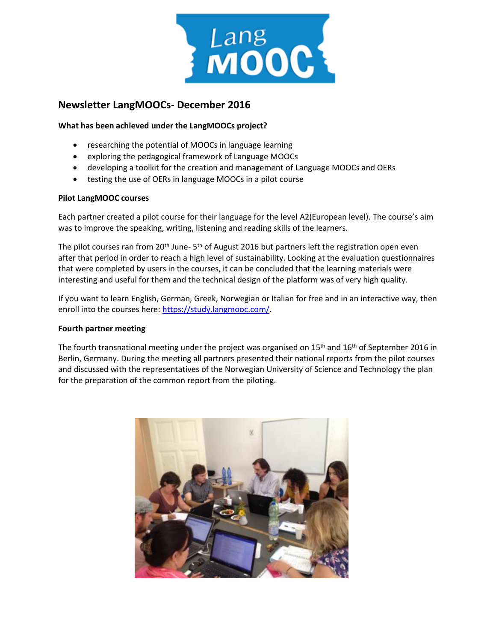

# **Newsletter LangMOOCs- December 2016**

# **What has been achieved under the LangMOOCs project?**

- researching the potential of MOOCs in language learning
- exploring the pedagogical framework of Language MOOCs
- developing a toolkit for the creation and management of Language MOOCs and OERs
- testing the use of OERs in language MOOCs in a pilot course

# **Pilot LangMOOC courses**

Each partner created a pilot course for their language for the level A2(European level). The course's aim was to improve the speaking, writing, listening and reading skills of the learners.

The pilot courses ran from 20<sup>th</sup> June- 5<sup>th</sup> of August 2016 but partners left the registration open even after that period in order to reach a high level of sustainability. Looking at the evaluation questionnaires that were completed by users in the courses, it can be concluded that the learning materials were interesting and useful for them and the technical design of the platform was of very high quality.

If you want to learn English, German, Greek, Norwegian or Italian for free and in an interactive way, then enroll into the courses here: [https://study.langmooc.com/.](https://study.langmooc.com/)

## **Fourth partner meeting**

The fourth transnational meeting under the project was organised on 15<sup>th</sup> and 16<sup>th</sup> of September 2016 in Berlin, Germany. During the meeting all partners presented their national reports from the pilot courses and discussed with the representatives of the Norwegian University of Science and Technology the plan for the preparation of the common report from the piloting.